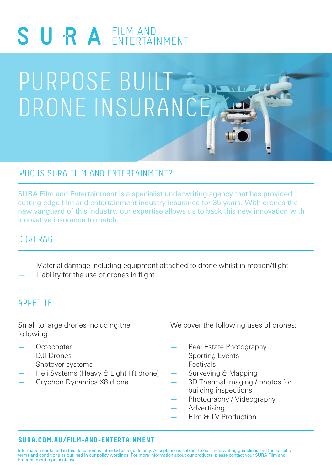

# PURPOSE BUILT DRONE INSURANCE

# WHO IS SURA FILM AND ENTERTAINMENT?

SURA Film and Entertainment is a specialist underwriting agency that has provided cutting edge film and entertainment industry insurance for 35 years. With drones the new vanguard of this industry, our expertise allows us to back this new innovation with innovative insurance to match.

# COVERAGE

- Material damage including equipment attached to drone whilst in motion/flight
- Liability for the use of drones in flight

## APPETITE

Small to large drones including the following:

- **Octocopter**
- DJI Drones
- Shotover systems
- Heli Systems (Heavy & Light lift drone)
- Gryphon Dynamics X8 drone.

We cover the following uses of drones:

- Real Estate Photography
- Sporting Events
- **Festivals**
- Surveying & Mapping
- 3D Thermal imaging / photos for building inspections
- Photography / Videography
- Advertising
- Film & TV Production.

## **SURA.COM.AU/FILM-AND-ENTERTAINMENT**

Information contained in this document is intended as a guide only. Acceptance is subject to our underwriting guidelines and the specific terms and conditions as outlined in our policy wordings. For more information about our products, please contact your SURA Film and Entertainment representative.